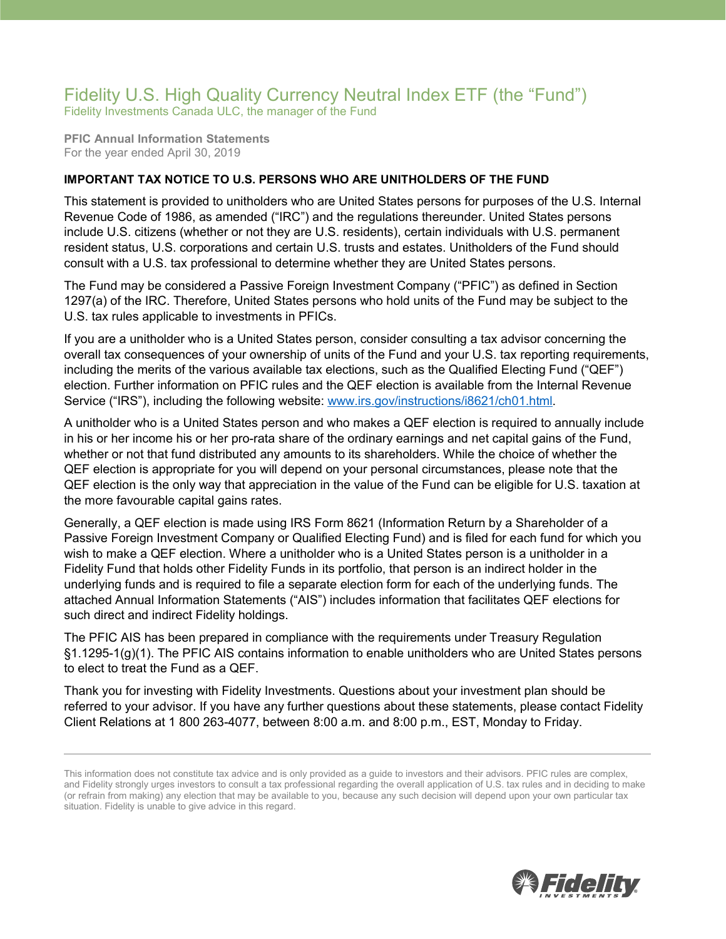## Fidelity U.S. High Quality Currency Neutral Index ETF (the "Fund") Fidelity Investments Canada ULC, the manager of the Fund

**PFIC Annual Information Statements** For the year ended April 30, 2019

## **IMPORTANT TAX NOTICE TO U.S. PERSONS WHO ARE UNITHOLDERS OF THE FUND**

This statement is provided to unitholders who are United States persons for purposes of the U.S. Internal Revenue Code of 1986, as amended ("IRC") and the regulations thereunder. United States persons include U.S. citizens (whether or not they are U.S. residents), certain individuals with U.S. permanent resident status, U.S. corporations and certain U.S. trusts and estates. Unitholders of the Fund should consult with a U.S. tax professional to determine whether they are United States persons.

The Fund may be considered a Passive Foreign Investment Company ("PFIC") as defined in Section 1297(a) of the IRC. Therefore, United States persons who hold units of the Fund may be subject to the U.S. tax rules applicable to investments in PFICs.

If you are a unitholder who is a United States person, consider consulting a tax advisor concerning the overall tax consequences of your ownership of units of the Fund and your U.S. tax reporting requirements, including the merits of the various available tax elections, such as the Qualified Electing Fund ("QEF") election. Further information on PFIC rules and the QEF election is available from the Internal Revenue Service ("IRS"), including the following website: [www.irs.gov/instructions/i8621/ch01.html.](http://www.irs.gov/instructions/i8621/ch01.html)

A unitholder who is a United States person and who makes a QEF election is required to annually include in his or her income his or her pro-rata share of the ordinary earnings and net capital gains of the Fund, whether or not that fund distributed any amounts to its shareholders. While the choice of whether the QEF election is appropriate for you will depend on your personal circumstances, please note that the QEF election is the only way that appreciation in the value of the Fund can be eligible for U.S. taxation at the more favourable capital gains rates.

Generally, a QEF election is made using IRS Form 8621 (Information Return by a Shareholder of a Passive Foreign Investment Company or Qualified Electing Fund) and is filed for each fund for which you wish to make a QEF election. Where a unitholder who is a United States person is a unitholder in a Fidelity Fund that holds other Fidelity Funds in its portfolio, that person is an indirect holder in the underlying funds and is required to file a separate election form for each of the underlying funds. The attached Annual Information Statements ("AIS") includes information that facilitates QEF elections for such direct and indirect Fidelity holdings.

The PFIC AIS has been prepared in compliance with the requirements under Treasury Regulation §1.1295-1(g)(1). The PFIC AIS contains information to enable unitholders who are United States persons to elect to treat the Fund as a QEF.

Thank you for investing with Fidelity Investments. Questions about your investment plan should be referred to your advisor. If you have any further questions about these statements, please contact Fidelity Client Relations at 1 800 263-4077, between 8:00 a.m. and 8:00 p.m., EST, Monday to Friday.



This information does not constitute tax advice and is only provided as a guide to investors and their advisors. PFIC rules are complex, and Fidelity strongly urges investors to consult a tax professional regarding the overall application of U.S. tax rules and in deciding to make (or refrain from making) any election that may be available to you, because any such decision will depend upon your own particular tax situation. Fidelity is unable to give advice in this regard.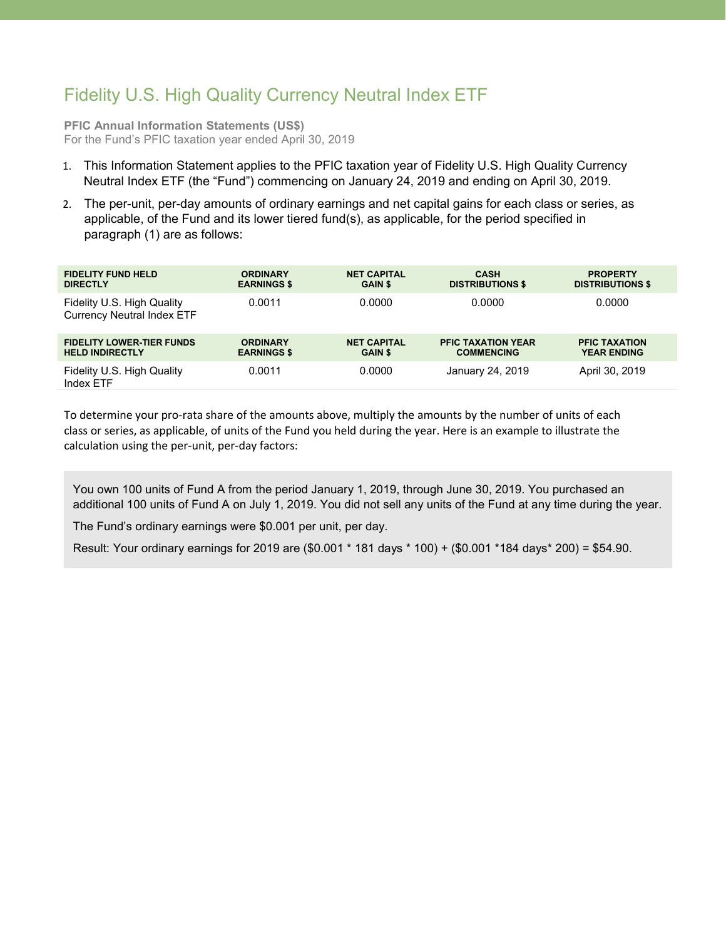## Fidelity U.S. High Quality Currency Neutral Index ETF

**PFIC Annual Information Statements (US\$)** For the Fund's PFIC taxation year ended April 30, 2019

- 1. This Information Statement applies to the PFIC taxation year of Fidelity U.S. High Quality Currency Neutral Index ETF (the "Fund") commencing on January 24, 2019 and ending on April 30, 2019.
- 2. The per-unit, per-day amounts of ordinary earnings and net capital gains for each class or series, as applicable, of the Fund and its lower tiered fund(s), as applicable, for the period specified in paragraph (1) are as follows:

| <b>FIDELITY FUND HELD</b>                                       | <b>ORDINARY</b>    | <b>NET CAPITAL</b> | <b>CASH</b>               | <b>PROPERTY</b>         |
|-----------------------------------------------------------------|--------------------|--------------------|---------------------------|-------------------------|
| <b>DIRECTLY</b>                                                 | <b>EARNINGS \$</b> | <b>GAIN \$</b>     | <b>DISTRIBUTIONS \$</b>   | <b>DISTRIBUTIONS \$</b> |
| Fidelity U.S. High Quality<br><b>Currency Neutral Index ETF</b> | 0.0011             | 0.0000             | 0.0000                    | 0.0000                  |
| <b>FIDELITY LOWER-TIER FUNDS</b>                                | <b>ORDINARY</b>    | <b>NET CAPITAL</b> | <b>PFIC TAXATION YEAR</b> | <b>PFIC TAXATION</b>    |
| <b>HELD INDIRECTLY</b>                                          | <b>EARNINGS \$</b> | <b>GAIN \$</b>     | <b>COMMENCING</b>         | <b>YEAR ENDING</b>      |
| Fidelity U.S. High Quality<br>Index ETF                         | 0.0011             | 0.0000             | January 24, 2019          | April 30, 2019          |

To determine your pro-rata share of the amounts above, multiply the amounts by the number of units of each class or series, as applicable, of units of the Fund you held during the year. Here is an example to illustrate the calculation using the per-unit, per-day factors:

You own 100 units of Fund A from the period January 1, 2019, through June 30, 2019. You purchased an additional 100 units of Fund A on July 1, 2019. You did not sell any units of the Fund at any time during the year.

The Fund's ordinary earnings were \$0.001 per unit, per day.

Result: Your ordinary earnings for 2019 are (\$0.001 \* 181 days \* 100) + (\$0.001 \*184 days\* 200) = \$54.90.